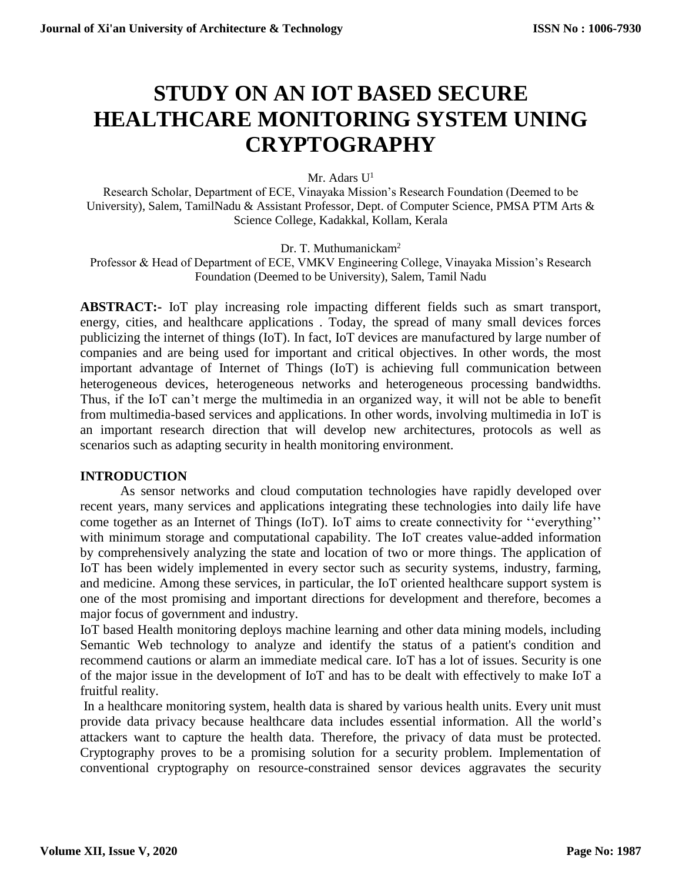# **STUDY ON AN IOT BASED SECURE HEALTHCARE MONITORING SYSTEM UNING CRYPTOGRAPHY**

Mr. Adars  $U^1$ 

Research Scholar, Department of ECE, Vinayaka Mission's Research Foundation (Deemed to be University), Salem, TamilNadu & Assistant Professor, Dept. of Computer Science, PMSA PTM Arts & Science College, Kadakkal, Kollam, Kerala

Dr. T. Muthumanickam<sup>2</sup>

Professor & Head of Department of ECE, VMKV Engineering College, Vinayaka Mission's Research Foundation (Deemed to be University), Salem, Tamil Nadu

**ABSTRACT:-** IoT play increasing role impacting different fields such as smart transport, energy, cities, and healthcare applications . Today, the spread of many small devices forces publicizing the internet of things (IoT). In fact, IoT devices are manufactured by large number of companies and are being used for important and critical objectives. In other words, the most important advantage of Internet of Things (IoT) is achieving full communication between heterogeneous devices, heterogeneous networks and heterogeneous processing bandwidths. Thus, if the IoT can't merge the multimedia in an organized way, it will not be able to benefit from multimedia-based services and applications. In other words, involving multimedia in IoT is an important research direction that will develop new architectures, protocols as well as scenarios such as adapting security in health monitoring environment.

# **INTRODUCTION**

As sensor networks and cloud computation technologies have rapidly developed over recent years, many services and applications integrating these technologies into daily life have come together as an Internet of Things (IoT). IoT aims to create connectivity for ''everything'' with minimum storage and computational capability. The IoT creates value-added information by comprehensively analyzing the state and location of two or more things. The application of IoT has been widely implemented in every sector such as security systems, industry, farming, and medicine. Among these services, in particular, the IoT oriented healthcare support system is one of the most promising and important directions for development and therefore, becomes a major focus of government and industry.

IoT based Health monitoring deploys machine learning and other data mining models, including Semantic Web technology to analyze and identify the status of a patient's condition and recommend cautions or alarm an immediate medical care. IoT has a lot of issues. Security is one of the major issue in the development of IoT and has to be dealt with effectively to make IoT a fruitful reality.

In a healthcare monitoring system, health data is shared by various health units. Every unit must provide data privacy because healthcare data includes essential information. All the world's attackers want to capture the health data. Therefore, the privacy of data must be protected. Cryptography proves to be a promising solution for a security problem. Implementation of conventional cryptography on resource-constrained sensor devices aggravates the security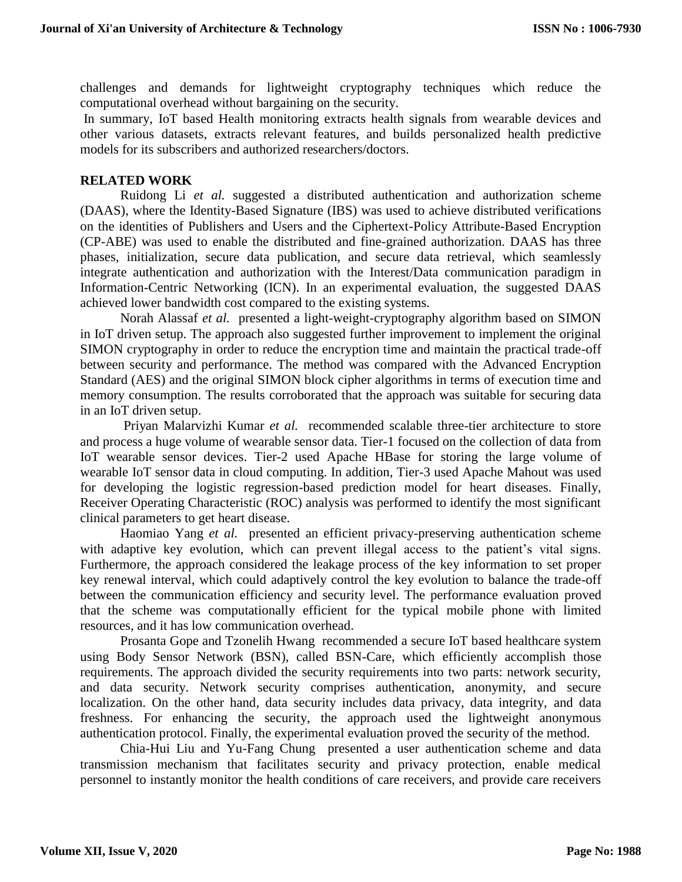challenges and demands for lightweight cryptography techniques which reduce the computational overhead without bargaining on the security.

In summary, IoT based Health monitoring extracts health signals from wearable devices and other various datasets, extracts relevant features, and builds personalized health predictive models for its subscribers and authorized researchers/doctors.

### **RELATED WORK**

Ruidong Li *et al.* suggested a distributed authentication and authorization scheme (DAAS), where the Identity-Based Signature (IBS) was used to achieve distributed verifications on the identities of Publishers and Users and the Ciphertext-Policy Attribute-Based Encryption (CP-ABE) was used to enable the distributed and fine-grained authorization. DAAS has three phases, initialization, secure data publication, and secure data retrieval, which seamlessly integrate authentication and authorization with the Interest/Data communication paradigm in Information-Centric Networking (ICN). In an experimental evaluation, the suggested DAAS achieved lower bandwidth cost compared to the existing systems.

Norah Alassaf *et al.* presented a light-weight-cryptography algorithm based on SIMON in IoT driven setup. The approach also suggested further improvement to implement the original SIMON cryptography in order to reduce the encryption time and maintain the practical trade-off between security and performance. The method was compared with the Advanced Encryption Standard (AES) and the original SIMON block cipher algorithms in terms of execution time and memory consumption. The results corroborated that the approach was suitable for securing data in an IoT driven setup.

Priyan Malarvizhi Kumar *et al.* recommended scalable three-tier architecture to store and process a huge volume of wearable sensor data. Tier-1 focused on the collection of data from IoT wearable sensor devices. Tier-2 used Apache HBase for storing the large volume of wearable IoT sensor data in cloud computing. In addition, Tier-3 used Apache Mahout was used for developing the logistic regression-based prediction model for heart diseases. Finally, Receiver Operating Characteristic (ROC) analysis was performed to identify the most significant clinical parameters to get heart disease.

Haomiao Yang *et al.* presented an efficient privacy-preserving authentication scheme with adaptive key evolution, which can prevent illegal access to the patient's vital signs. Furthermore, the approach considered the leakage process of the key information to set proper key renewal interval, which could adaptively control the key evolution to balance the trade-off between the communication efficiency and security level. The performance evaluation proved that the scheme was computationally efficient for the typical mobile phone with limited resources, and it has low communication overhead.

Prosanta Gope and Tzonelih Hwang recommended a secure IoT based healthcare system using Body Sensor Network (BSN), called BSN-Care, which efficiently accomplish those requirements. The approach divided the security requirements into two parts: network security, and data security. Network security comprises authentication, anonymity, and secure localization. On the other hand, data security includes data privacy, data integrity, and data freshness. For enhancing the security, the approach used the lightweight anonymous authentication protocol. Finally, the experimental evaluation proved the security of the method.

Chia-Hui Liu and Yu-Fang Chung presented a user authentication scheme and data transmission mechanism that facilitates security and privacy protection, enable medical personnel to instantly monitor the health conditions of care receivers, and provide care receivers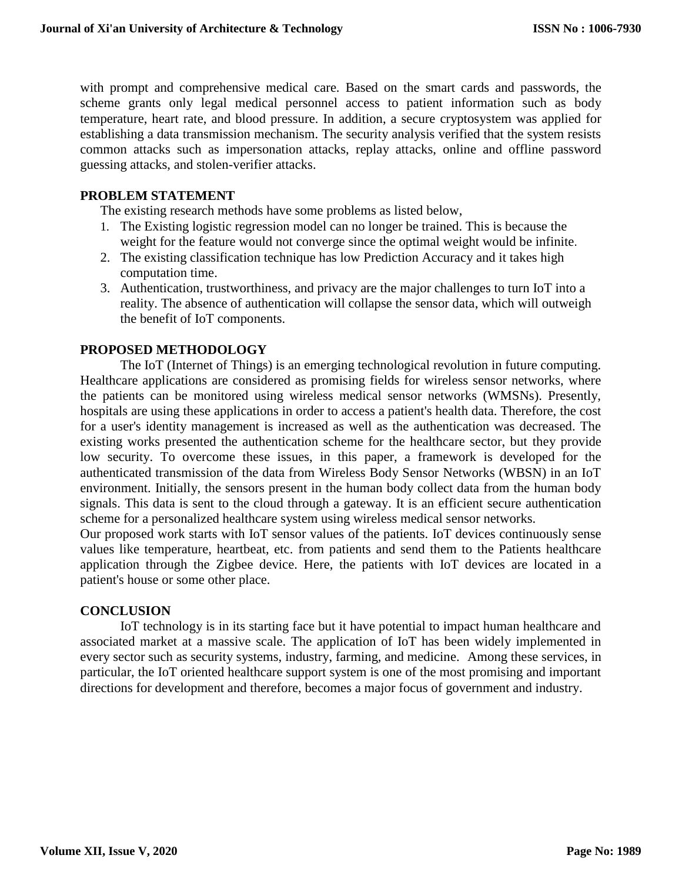with prompt and comprehensive medical care. Based on the smart cards and passwords, the scheme grants only legal medical personnel access to patient information such as body temperature, heart rate, and blood pressure. In addition, a secure cryptosystem was applied for establishing a data transmission mechanism. The security analysis verified that the system resists common attacks such as impersonation attacks, replay attacks, online and offline password guessing attacks, and stolen-verifier attacks.

# **PROBLEM STATEMENT**

The existing research methods have some problems as listed below,

- 1. The Existing logistic regression model can no longer be trained. This is because the weight for the feature would not converge since the optimal weight would be infinite.
- 2. The existing classification technique has low Prediction Accuracy and it takes high computation time.
- 3. Authentication, trustworthiness, and privacy are the major challenges to turn IoT into a reality. The absence of authentication will collapse the sensor data, which will outweigh the benefit of IoT components.

# **PROPOSED METHODOLOGY**

The IoT (Internet of Things) is an emerging technological revolution in future computing. Healthcare applications are considered as promising fields for wireless sensor networks, where the patients can be monitored using wireless medical sensor networks (WMSNs). Presently, hospitals are using these applications in order to access a patient's health data. Therefore, the cost for a user's identity management is increased as well as the authentication was decreased. The existing works presented the authentication scheme for the healthcare sector, but they provide low security. To overcome these issues, in this paper, a framework is developed for the authenticated transmission of the data from Wireless Body Sensor Networks (WBSN) in an IoT environment. Initially, the sensors present in the human body collect data from the human body signals. This data is sent to the cloud through a gateway. It is an efficient secure authentication scheme for a personalized healthcare system using wireless medical sensor networks.

Our proposed work starts with IoT sensor values of the patients. IoT devices continuously sense values like temperature, heartbeat, etc. from patients and send them to the Patients healthcare application through the Zigbee device. Here, the patients with IoT devices are located in a patient's house or some other place.

### **CONCLUSION**

IoT technology is in its starting face but it have potential to impact human healthcare and associated market at a massive scale. The application of IoT has been widely implemented in every sector such as security systems, industry, farming, and medicine. Among these services, in particular, the IoT oriented healthcare support system is one of the most promising and important directions for development and therefore, becomes a major focus of government and industry.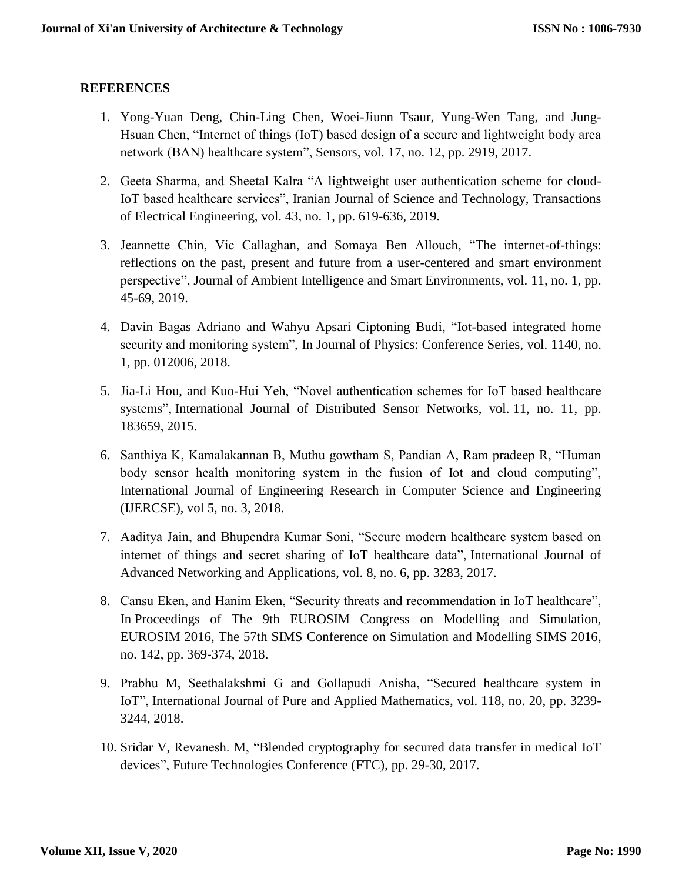# **REFERENCES**

- 1. Yong-Yuan Deng, Chin-Ling Chen, Woei-Jiunn Tsaur, Yung-Wen Tang, and Jung-Hsuan Chen, "Internet of things (IoT) based design of a secure and lightweight body area network (BAN) healthcare system", Sensors, vol. 17, no. 12, pp. 2919, 2017.
- 2. Geeta Sharma, and Sheetal Kalra "A lightweight user authentication scheme for cloud-IoT based healthcare services", Iranian Journal of Science and Technology, Transactions of Electrical Engineering, vol. 43, no. 1, pp. 619-636, 2019.
- 3. Jeannette Chin, Vic Callaghan, and Somaya Ben Allouch, "The internet-of-things: reflections on the past, present and future from a user-centered and smart environment perspective", Journal of Ambient Intelligence and Smart Environments, vol. 11, no. 1, pp. 45-69, 2019.
- 4. Davin Bagas Adriano and Wahyu Apsari Ciptoning Budi, "Iot-based integrated home security and monitoring system", In Journal of Physics: Conference Series, vol. 1140, no. 1, pp. 012006, 2018.
- 5. Jia-Li Hou, and Kuo-Hui Yeh, "Novel authentication schemes for IoT based healthcare systems", International Journal of Distributed Sensor Networks, vol. 11, no. 11, pp. 183659, 2015.
- 6. Santhiya K, Kamalakannan B, Muthu gowtham S, Pandian A, Ram pradeep R, "Human body sensor health monitoring system in the fusion of Iot and cloud computing", International Journal of Engineering Research in Computer Science and Engineering (IJERCSE), vol 5, no. 3, 2018.
- 7. Aaditya Jain, and Bhupendra Kumar Soni, "Secure modern healthcare system based on internet of things and secret sharing of IoT healthcare data", International Journal of Advanced Networking and Applications, vol. 8, no. 6, pp. 3283, 2017.
- 8. Cansu Eken, and Hanim Eken, "Security threats and recommendation in IoT healthcare", In Proceedings of The 9th EUROSIM Congress on Modelling and Simulation, EUROSIM 2016, The 57th SIMS Conference on Simulation and Modelling SIMS 2016, no. 142, pp. 369-374, 2018.
- 9. Prabhu M, Seethalakshmi G and Gollapudi Anisha, "Secured healthcare system in IoT", International Journal of Pure and Applied Mathematics, vol. 118, no. 20, pp. 3239- 3244, 2018.
- 10. Sridar V, Revanesh. M, "Blended cryptography for secured data transfer in medical IoT devices", Future Technologies Conference (FTC), pp. 29-30, 2017.